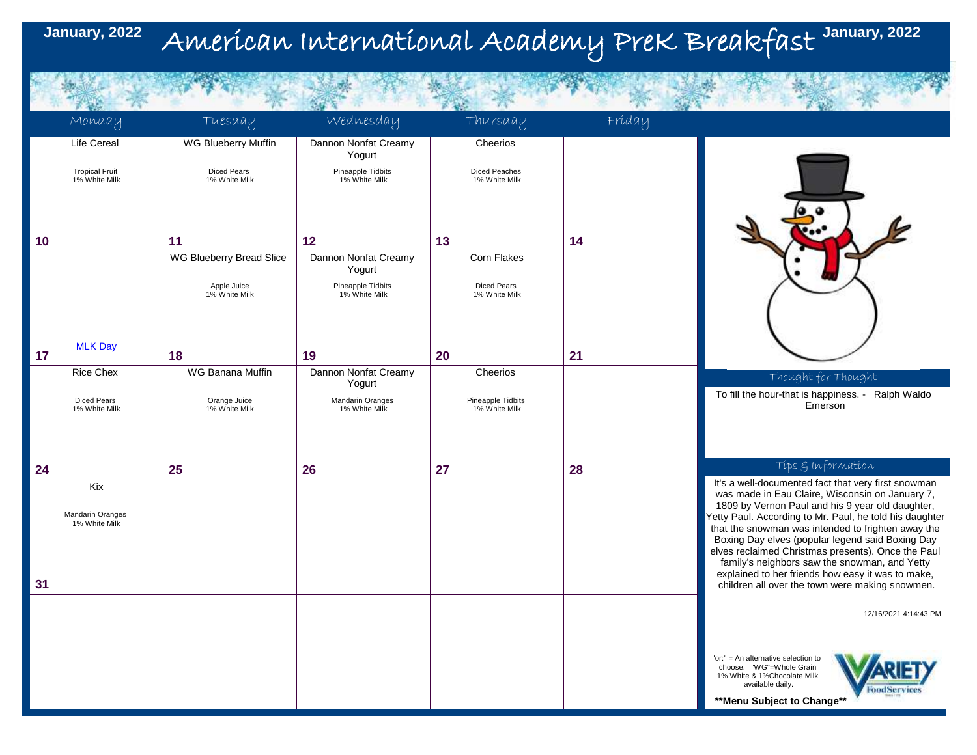### American International Academy PreK Breakfast **January, 2022 January, 2022**

|    | Monday                                 | Tuesday                             | Wednesday                          | Thursday                              | Fríday |                                                                                                                                                                   |
|----|----------------------------------------|-------------------------------------|------------------------------------|---------------------------------------|--------|-------------------------------------------------------------------------------------------------------------------------------------------------------------------|
|    | <b>Life Cereal</b>                     | WG Blueberry Muffin                 | Dannon Nonfat Creamy<br>Yogurt     | Cheerios                              |        |                                                                                                                                                                   |
|    | <b>Tropical Fruit</b><br>1% White Milk | <b>Diced Pears</b><br>1% White Milk | Pineapple Tidbits<br>1% White Milk | <b>Diced Peaches</b><br>1% White Milk |        |                                                                                                                                                                   |
|    |                                        |                                     |                                    |                                       |        |                                                                                                                                                                   |
| 10 |                                        | 11                                  | 12                                 | 13                                    | 14     |                                                                                                                                                                   |
|    |                                        | WG Blueberry Bread Slice            | Dannon Nonfat Creamy<br>Yogurt     | Corn Flakes                           |        |                                                                                                                                                                   |
|    |                                        | Apple Juice<br>1% White Milk        | Pineapple Tidbits<br>1% White Milk | <b>Diced Pears</b><br>1% White Milk   |        |                                                                                                                                                                   |
|    |                                        |                                     |                                    |                                       |        |                                                                                                                                                                   |
| 17 | <b>MLK Day</b>                         | 18                                  | 19                                 | 20                                    | 21     |                                                                                                                                                                   |
|    | <b>Rice Chex</b>                       | WG Banana Muffin                    | Dannon Nonfat Creamy<br>Yogurt     | Cheerios                              |        | Thought for Thought                                                                                                                                               |
|    | <b>Diced Pears</b><br>1% White Milk    | Orange Juice<br>1% White Milk       | Mandarin Oranges<br>1% White Milk  | Pineapple Tidbits<br>1% White Milk    |        | To fill the hour-that is happiness. - Ralph Waldo<br>Emerson                                                                                                      |
|    |                                        |                                     |                                    |                                       |        |                                                                                                                                                                   |
| 24 |                                        | 25                                  | 26                                 | 27                                    | 28     | Tips & Information                                                                                                                                                |
|    | Kix                                    |                                     |                                    |                                       |        | It's a well-documented fact that very first snowman<br>was made in Eau Claire, Wisconsin on January 7,                                                            |
|    | Mandarin Oranges<br>1% White Milk      |                                     |                                    |                                       |        | 1809 by Vernon Paul and his 9 year old daughter,<br>Yetty Paul. According to Mr. Paul, he told his daughter<br>that the snowman was intended to frighten away the |
|    |                                        |                                     |                                    |                                       |        | Boxing Day elves (popular legend said Boxing Day<br>elves reclaimed Christmas presents). Once the Paul                                                            |
| 31 |                                        |                                     |                                    |                                       |        | family's neighbors saw the snowman, and Yetty<br>explained to her friends how easy it was to make,<br>children all over the town were making snowmen.             |
|    |                                        |                                     |                                    |                                       |        | 12/16/2021 4:14:43 PM                                                                                                                                             |
|    |                                        |                                     |                                    |                                       |        |                                                                                                                                                                   |
|    |                                        |                                     |                                    |                                       |        | "or:" = An alternative selection to<br>choose. "WG"=Whole Grain<br>1% White & 1%Chocolate Milk<br>available daily.<br><b>FoodServices</b>                         |
|    |                                        |                                     |                                    |                                       |        | **Menu Subject to Change**                                                                                                                                        |
|    |                                        |                                     |                                    |                                       |        |                                                                                                                                                                   |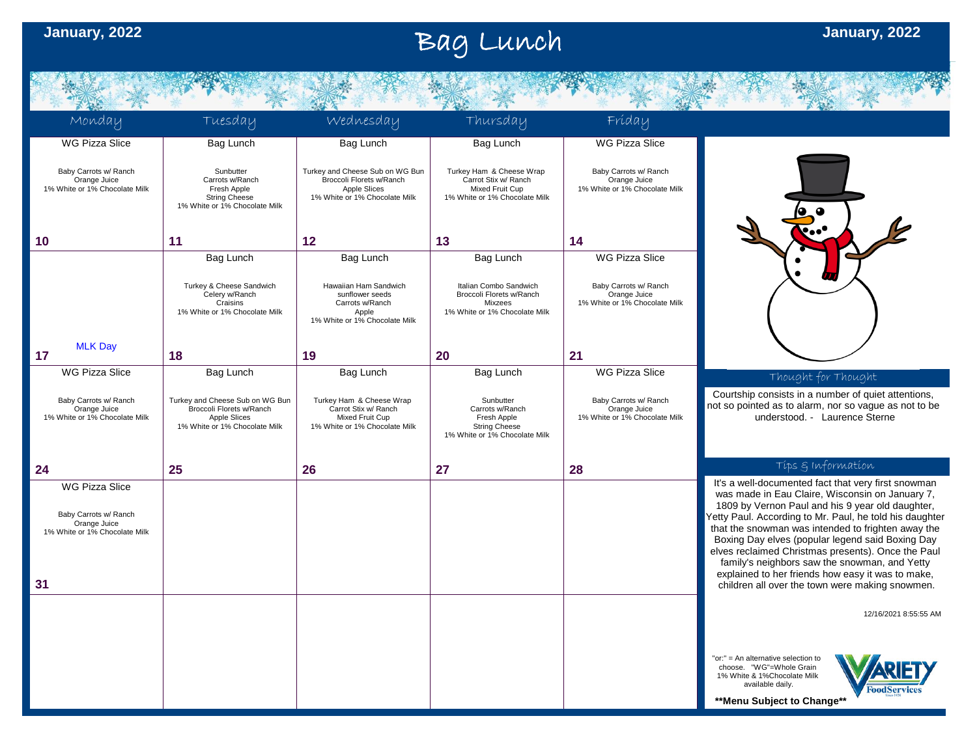第一天, 我们

## Bag Lunch **January, 2022**

| 不安                                                                                                    | 一本省                                                                                                          | 真容                                                                                                           | 大谷                                                                                                   | 海外                                                                     | 不安                                                                                                                                                                                                                                                                                                                                                                                                                                                                                                                                            |
|-------------------------------------------------------------------------------------------------------|--------------------------------------------------------------------------------------------------------------|--------------------------------------------------------------------------------------------------------------|------------------------------------------------------------------------------------------------------|------------------------------------------------------------------------|-----------------------------------------------------------------------------------------------------------------------------------------------------------------------------------------------------------------------------------------------------------------------------------------------------------------------------------------------------------------------------------------------------------------------------------------------------------------------------------------------------------------------------------------------|
| Monday                                                                                                | Tuesday                                                                                                      | Wednesday                                                                                                    | Thursday                                                                                             | Fríday                                                                 |                                                                                                                                                                                                                                                                                                                                                                                                                                                                                                                                               |
| <b>WG Pizza Slice</b>                                                                                 | Bag Lunch                                                                                                    | Bag Lunch                                                                                                    | Bag Lunch                                                                                            | <b>WG Pizza Slice</b>                                                  |                                                                                                                                                                                                                                                                                                                                                                                                                                                                                                                                               |
| Baby Carrots w/ Ranch<br>Orange Juice<br>1% White or 1% Chocolate Milk                                | Sunbutter<br>Carrots w/Ranch<br>Fresh Apple<br><b>String Cheese</b><br>1% White or 1% Chocolate Milk         | Turkey and Cheese Sub on WG Bun<br>Broccoli Florets w/Ranch<br>Apple Slices<br>1% White or 1% Chocolate Milk | Turkey Ham & Cheese Wrap<br>Carrot Stix w/ Ranch<br>Mixed Fruit Cup<br>1% White or 1% Chocolate Milk | Baby Carrots w/ Ranch<br>Orange Juice<br>1% White or 1% Chocolate Milk |                                                                                                                                                                                                                                                                                                                                                                                                                                                                                                                                               |
| 10                                                                                                    | 11                                                                                                           | 12                                                                                                           | 13                                                                                                   | 14                                                                     |                                                                                                                                                                                                                                                                                                                                                                                                                                                                                                                                               |
|                                                                                                       | Bag Lunch                                                                                                    | Bag Lunch                                                                                                    | Bag Lunch                                                                                            | <b>WG Pizza Slice</b>                                                  |                                                                                                                                                                                                                                                                                                                                                                                                                                                                                                                                               |
|                                                                                                       |                                                                                                              |                                                                                                              |                                                                                                      |                                                                        |                                                                                                                                                                                                                                                                                                                                                                                                                                                                                                                                               |
|                                                                                                       | Turkey & Cheese Sandwich<br>Celery w/Ranch<br>Craisins<br>1% White or 1% Chocolate Milk                      | Hawaiian Ham Sandwich<br>sunflower seeds<br>Carrots w/Ranch<br>Apple<br>1% White or 1% Chocolate Milk        | Italian Combo Sandwich<br>Broccoli Florets w/Ranch<br>Mixzees<br>1% White or 1% Chocolate Milk       | Baby Carrots w/ Ranch<br>Orange Juice<br>1% White or 1% Chocolate Milk |                                                                                                                                                                                                                                                                                                                                                                                                                                                                                                                                               |
| <b>MLK Day</b><br>17                                                                                  | 18                                                                                                           | 19                                                                                                           | 20                                                                                                   | 21                                                                     |                                                                                                                                                                                                                                                                                                                                                                                                                                                                                                                                               |
| <b>WG Pizza Slice</b>                                                                                 | Bag Lunch                                                                                                    | Bag Lunch                                                                                                    | Bag Lunch                                                                                            | <b>WG Pizza Slice</b>                                                  |                                                                                                                                                                                                                                                                                                                                                                                                                                                                                                                                               |
|                                                                                                       |                                                                                                              |                                                                                                              |                                                                                                      |                                                                        | Thought for Thought                                                                                                                                                                                                                                                                                                                                                                                                                                                                                                                           |
| Baby Carrots w/ Ranch<br>Orange Juice<br>1% White or 1% Chocolate Milk                                | Turkey and Cheese Sub on WG Bun<br>Broccoli Florets w/Ranch<br>Apple Slices<br>1% White or 1% Chocolate Milk | Turkey Ham & Cheese Wrap<br>Carrot Stix w/ Ranch<br>Mixed Fruit Cup<br>1% White or 1% Chocolate Milk         | Sunbutter<br>Carrots w/Ranch<br>Fresh Apple<br><b>String Cheese</b><br>1% White or 1% Chocolate Milk | Baby Carrots w/ Ranch<br>Orange Juice<br>1% White or 1% Chocolate Milk | Courtship consists in a number of quiet attentions,<br>not so pointed as to alarm, nor so vague as not to be<br>understood. - Laurence Sterne                                                                                                                                                                                                                                                                                                                                                                                                 |
| 24                                                                                                    | 25                                                                                                           | 26                                                                                                           | 27                                                                                                   | 28                                                                     | Tips & Information                                                                                                                                                                                                                                                                                                                                                                                                                                                                                                                            |
| <b>WG Pizza Slice</b><br>Baby Carrots w/ Ranch<br>Orange Juice<br>1% White or 1% Chocolate Milk<br>31 |                                                                                                              |                                                                                                              |                                                                                                      |                                                                        | It's a well-documented fact that very first snowman<br>was made in Eau Claire, Wisconsin on January 7,<br>1809 by Vernon Paul and his 9 year old daughter,<br>etty Paul. According to Mr. Paul, he told his daughter<br>that the snowman was intended to frighten away the<br>Boxing Day elves (popular legend said Boxing Day<br>elves reclaimed Christmas presents). Once the Paul<br>family's neighbors saw the snowman, and Yetty<br>explained to her friends how easy it was to make,<br>children all over the town were making snowmen. |
|                                                                                                       |                                                                                                              |                                                                                                              |                                                                                                      |                                                                        | 12/16/2021 8:55:55 AM                                                                                                                                                                                                                                                                                                                                                                                                                                                                                                                         |
|                                                                                                       |                                                                                                              |                                                                                                              |                                                                                                      |                                                                        | "or:" = An alternative selection to<br>choose. "WG"=Whole Grain                                                                                                                                                                                                                                                                                                                                                                                                                                                                               |
|                                                                                                       |                                                                                                              |                                                                                                              |                                                                                                      |                                                                        | 1% White & 1%Chocolate Milk<br>available daily.<br><b>FoodServices</b>                                                                                                                                                                                                                                                                                                                                                                                                                                                                        |
|                                                                                                       |                                                                                                              |                                                                                                              |                                                                                                      |                                                                        | **Menu Subject to Change**                                                                                                                                                                                                                                                                                                                                                                                                                                                                                                                    |
|                                                                                                       |                                                                                                              |                                                                                                              |                                                                                                      |                                                                        |                                                                                                                                                                                                                                                                                                                                                                                                                                                                                                                                               |
|                                                                                                       |                                                                                                              |                                                                                                              |                                                                                                      |                                                                        |                                                                                                                                                                                                                                                                                                                                                                                                                                                                                                                                               |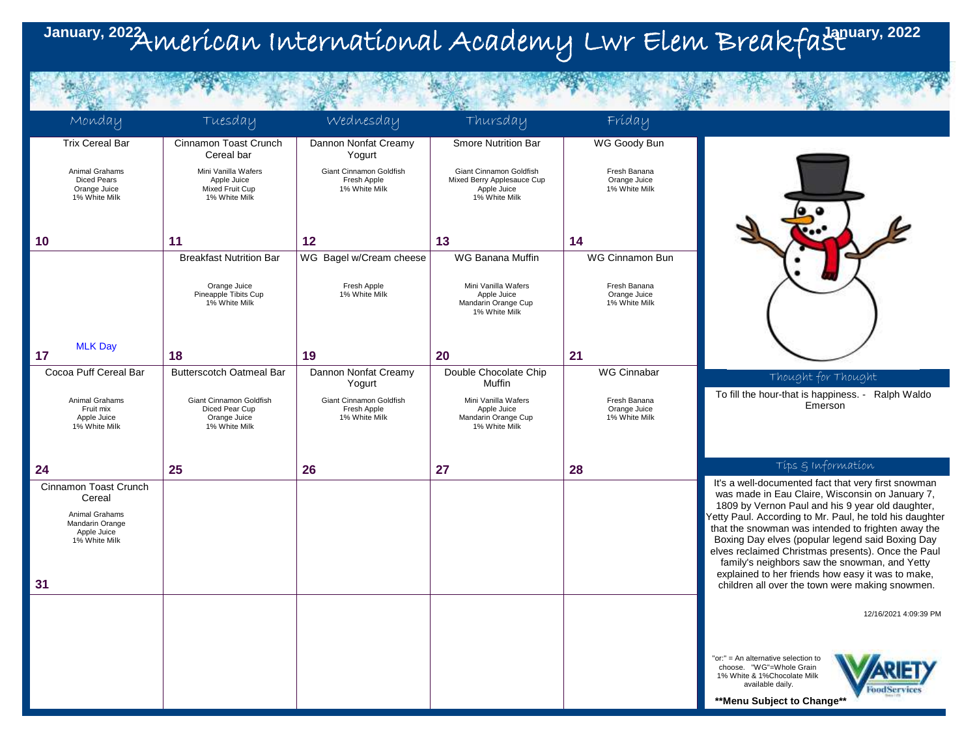### American International Academy Lwr Elem Breakfast **January, 2022 January, 2022**

**ALCOHOL:** 

**A STATE OF BUILDING** 

| Monday                                                                                                     | Tuesday                                                                    | Wednesday                                               | Thursday                                                                              | Fríday                                        |                                                                                                                                                                                                                                                                                                                                                                                                                                                                                                                                                |
|------------------------------------------------------------------------------------------------------------|----------------------------------------------------------------------------|---------------------------------------------------------|---------------------------------------------------------------------------------------|-----------------------------------------------|------------------------------------------------------------------------------------------------------------------------------------------------------------------------------------------------------------------------------------------------------------------------------------------------------------------------------------------------------------------------------------------------------------------------------------------------------------------------------------------------------------------------------------------------|
| <b>Trix Cereal Bar</b>                                                                                     | Cinnamon Toast Crunch<br>Cereal bar                                        | Dannon Nonfat Creamy<br>Yogurt                          | <b>Smore Nutrition Bar</b>                                                            | WG Goody Bun                                  |                                                                                                                                                                                                                                                                                                                                                                                                                                                                                                                                                |
| Animal Grahams<br><b>Diced Pears</b><br>Orange Juice<br>1% White Milk                                      | Mini Vanilla Wafers<br>Apple Juice<br>Mixed Fruit Cup<br>1% White Milk     | Giant Cinnamon Goldfish<br>Fresh Apple<br>1% White Milk | Giant Cinnamon Goldfish<br>Mixed Berry Applesauce Cup<br>Apple Juice<br>1% White Milk | Fresh Banana<br>Orange Juice<br>1% White Milk |                                                                                                                                                                                                                                                                                                                                                                                                                                                                                                                                                |
| 10                                                                                                         | 11                                                                         | 12                                                      | 13                                                                                    | 14                                            |                                                                                                                                                                                                                                                                                                                                                                                                                                                                                                                                                |
|                                                                                                            | <b>Breakfast Nutrition Bar</b>                                             | WG Bagel w/Cream cheese                                 | WG Banana Muffin                                                                      | WG Cinnamon Bun                               |                                                                                                                                                                                                                                                                                                                                                                                                                                                                                                                                                |
|                                                                                                            | Orange Juice<br>Pineapple Tibits Cup<br>1% White Milk                      | Fresh Apple<br>1% White Milk                            | Mini Vanilla Wafers<br>Apple Juice<br>Mandarin Orange Cup<br>1% White Milk            | Fresh Banana<br>Orange Juice<br>1% White Milk |                                                                                                                                                                                                                                                                                                                                                                                                                                                                                                                                                |
| <b>MLK Day</b><br>17                                                                                       | 18                                                                         | 19                                                      | 20                                                                                    | 21                                            |                                                                                                                                                                                                                                                                                                                                                                                                                                                                                                                                                |
| Cocoa Puff Cereal Bar                                                                                      | <b>Butterscotch Oatmeal Bar</b>                                            | Dannon Nonfat Creamy<br>Yogurt                          | Double Chocolate Chip<br>Muffin                                                       | <b>WG Cinnabar</b>                            | Thought for Thought                                                                                                                                                                                                                                                                                                                                                                                                                                                                                                                            |
| Animal Grahams<br>Fruit mix<br>Apple Juice<br>1% White Milk                                                | Giant Cinnamon Goldfish<br>Diced Pear Cup<br>Orange Juice<br>1% White Milk | Giant Cinnamon Goldfish<br>Fresh Apple<br>1% White Milk | Mini Vanilla Wafers<br>Apple Juice<br>Mandarin Orange Cup<br>1% White Milk            | Fresh Banana<br>Orange Juice<br>1% White Milk | To fill the hour-that is happiness. -<br>Ralph Waldo<br>Emerson                                                                                                                                                                                                                                                                                                                                                                                                                                                                                |
| 24                                                                                                         | 25                                                                         | 26                                                      | 27                                                                                    | 28                                            | Tips & Information                                                                                                                                                                                                                                                                                                                                                                                                                                                                                                                             |
| Cinnamon Toast Crunch<br>Cereal<br>Animal Grahams<br>Mandarin Orange<br>Apple Juice<br>1% White Milk<br>31 |                                                                            |                                                         |                                                                                       |                                               | It's a well-documented fact that very first snowman<br>was made in Eau Claire, Wisconsin on January 7,<br>1809 by Vernon Paul and his 9 year old daughter,<br>Yetty Paul. According to Mr. Paul, he told his daughter<br>that the snowman was intended to frighten away the<br>Boxing Day elves (popular legend said Boxing Day<br>elves reclaimed Christmas presents). Once the Paul<br>family's neighbors saw the snowman, and Yetty<br>explained to her friends how easy it was to make,<br>children all over the town were making snowmen. |
|                                                                                                            |                                                                            |                                                         |                                                                                       |                                               | 12/16/2021 4:09:39 PM                                                                                                                                                                                                                                                                                                                                                                                                                                                                                                                          |
|                                                                                                            |                                                                            |                                                         |                                                                                       |                                               | "or:" = An alternative selection to<br>choose. "WG"=Whole Grain<br>1% White & 1%Chocolate Milk<br>available daily.<br>FoodService<br>**Menu Subject to Change**                                                                                                                                                                                                                                                                                                                                                                                |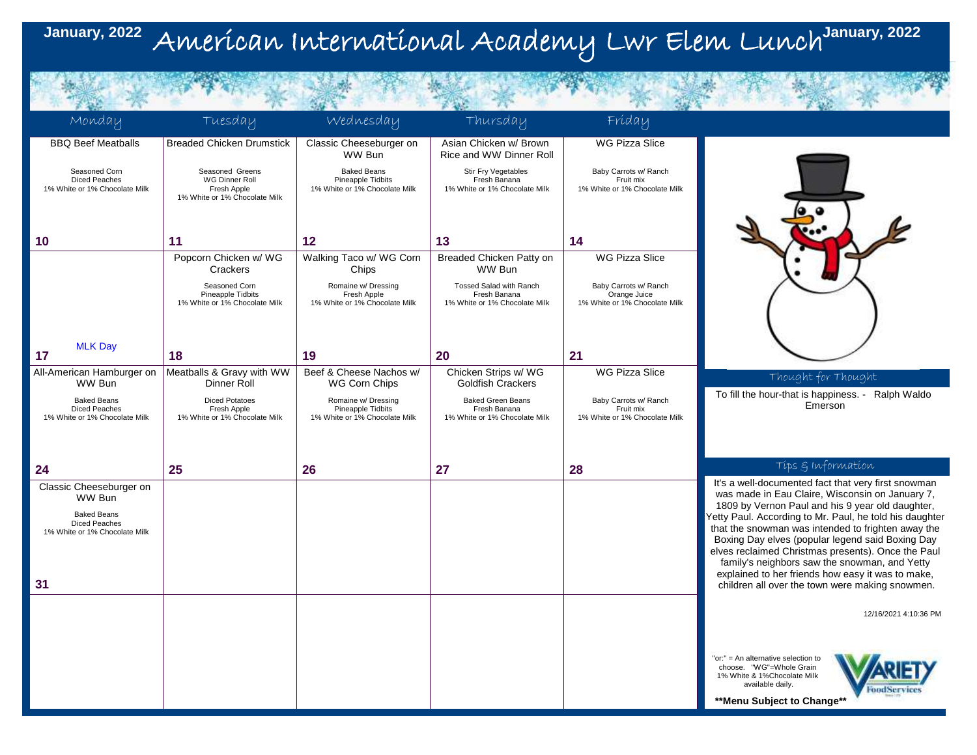#### American International Academy Lwr Elem Lunch **January, 2022 January, 2022**

| Monday                                                                                                                 | Tuesday                                                                           | Wednesday                                                                 | Thursday                                                                  | Fríday                                                                 |                                                                                                                                                                                                                                                                                                                                                                                                                                                                                                                                                |
|------------------------------------------------------------------------------------------------------------------------|-----------------------------------------------------------------------------------|---------------------------------------------------------------------------|---------------------------------------------------------------------------|------------------------------------------------------------------------|------------------------------------------------------------------------------------------------------------------------------------------------------------------------------------------------------------------------------------------------------------------------------------------------------------------------------------------------------------------------------------------------------------------------------------------------------------------------------------------------------------------------------------------------|
| <b>BBQ Beef Meatballs</b>                                                                                              | <b>Breaded Chicken Drumstick</b>                                                  | Classic Cheeseburger on<br>WW Bun                                         | Asian Chicken w/ Brown<br>Rice and WW Dinner Roll                         | <b>WG Pizza Slice</b>                                                  |                                                                                                                                                                                                                                                                                                                                                                                                                                                                                                                                                |
| Seasoned Corn<br><b>Diced Peaches</b><br>1% White or 1% Chocolate Milk                                                 | Seasoned Greens<br>WG Dinner Roll<br>Fresh Apple<br>1% White or 1% Chocolate Milk | <b>Baked Beans</b><br>Pineapple Tidbits<br>1% White or 1% Chocolate Milk  | Stir Fry Vegetables<br>Fresh Banana<br>1% White or 1% Chocolate Milk      | Baby Carrots w/ Ranch<br>Fruit mix<br>1% White or 1% Chocolate Milk    |                                                                                                                                                                                                                                                                                                                                                                                                                                                                                                                                                |
| 10                                                                                                                     | 11                                                                                | 12                                                                        | 13                                                                        | 14                                                                     |                                                                                                                                                                                                                                                                                                                                                                                                                                                                                                                                                |
|                                                                                                                        | Popcorn Chicken w/ WG<br>Crackers                                                 | Walking Taco w/ WG Corn<br>Chips                                          | Breaded Chicken Patty on<br>WW Bun                                        | <b>WG Pizza Slice</b>                                                  |                                                                                                                                                                                                                                                                                                                                                                                                                                                                                                                                                |
|                                                                                                                        | Seasoned Corn<br>Pineapple Tidbits<br>1% White or 1% Chocolate Milk               | Romaine w/ Dressing<br>Fresh Apple<br>1% White or 1% Chocolate Milk       | Tossed Salad with Ranch<br>Fresh Banana<br>1% White or 1% Chocolate Milk  | Baby Carrots w/ Ranch<br>Orange Juice<br>1% White or 1% Chocolate Milk |                                                                                                                                                                                                                                                                                                                                                                                                                                                                                                                                                |
| <b>MLK Day</b><br>17                                                                                                   | 18                                                                                | 19                                                                        | 20                                                                        | 21                                                                     |                                                                                                                                                                                                                                                                                                                                                                                                                                                                                                                                                |
| All-American Hamburger on<br>WW Bun                                                                                    | Meatballs & Gravy with WW<br>Dinner Roll                                          | Beef & Cheese Nachos w/<br><b>WG Corn Chips</b>                           | Chicken Strips w/ WG<br><b>Goldfish Crackers</b>                          | <b>WG Pizza Slice</b>                                                  | Thought for Thought                                                                                                                                                                                                                                                                                                                                                                                                                                                                                                                            |
| <b>Baked Beans</b><br>Diced Peaches<br>1% White or 1% Chocolate Milk                                                   | <b>Diced Potatoes</b><br>Fresh Apple<br>1% White or 1% Chocolate Milk             | Romaine w/ Dressing<br>Pineapple Tidbits<br>1% White or 1% Chocolate Milk | <b>Baked Green Beans</b><br>Fresh Banana<br>1% White or 1% Chocolate Milk | Baby Carrots w/ Ranch<br>Fruit mix<br>1% White or 1% Chocolate Milk    | To fill the hour-that is happiness. -<br>Ralph Waldo<br>Emerson                                                                                                                                                                                                                                                                                                                                                                                                                                                                                |
|                                                                                                                        |                                                                                   |                                                                           |                                                                           |                                                                        |                                                                                                                                                                                                                                                                                                                                                                                                                                                                                                                                                |
| 24                                                                                                                     | 25                                                                                | 26                                                                        | 27                                                                        | 28                                                                     | Tips & Information                                                                                                                                                                                                                                                                                                                                                                                                                                                                                                                             |
| Classic Cheeseburger on<br>WW Bun<br><b>Baked Beans</b><br><b>Diced Peaches</b><br>1% White or 1% Chocolate Milk<br>31 |                                                                                   |                                                                           |                                                                           |                                                                        | It's a well-documented fact that very first snowman<br>was made in Eau Claire, Wisconsin on January 7,<br>1809 by Vernon Paul and his 9 year old daughter,<br>Yetty Paul. According to Mr. Paul, he told his daughter<br>that the snowman was intended to frighten away the<br>Boxing Day elves (popular legend said Boxing Day<br>elves reclaimed Christmas presents). Once the Paul<br>family's neighbors saw the snowman, and Yetty<br>explained to her friends how easy it was to make,<br>children all over the town were making snowmen. |
|                                                                                                                        |                                                                                   |                                                                           |                                                                           |                                                                        | 12/16/2021 4:10:36 PM                                                                                                                                                                                                                                                                                                                                                                                                                                                                                                                          |
|                                                                                                                        |                                                                                   |                                                                           |                                                                           |                                                                        | "or:" = An alternative selection to<br>choose. "WG"=Whole Grain<br>1% White & 1%Chocolate Milk<br>available daily.<br>FoodService<br>** Menu Subject to Change**                                                                                                                                                                                                                                                                                                                                                                               |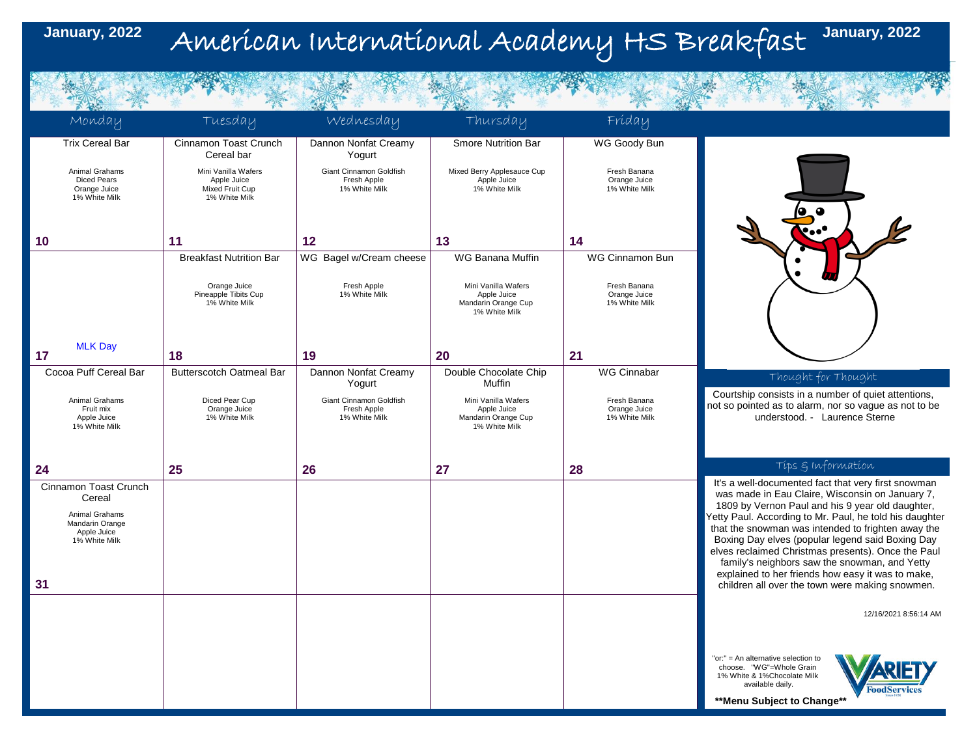### American International Academy HS Breakfast **January, 2022 January, 2022**

| Monday                                                                                               | Tuesday                                                                | Wednesday                                               | Thursday                                                                   | Fríday                                        |                                                                                                                                                                                                                                                                                                                                                                                                                                                                                             |
|------------------------------------------------------------------------------------------------------|------------------------------------------------------------------------|---------------------------------------------------------|----------------------------------------------------------------------------|-----------------------------------------------|---------------------------------------------------------------------------------------------------------------------------------------------------------------------------------------------------------------------------------------------------------------------------------------------------------------------------------------------------------------------------------------------------------------------------------------------------------------------------------------------|
| <b>Trix Cereal Bar</b>                                                                               | Cinnamon Toast Crunch<br>Cereal bar                                    | Dannon Nonfat Creamy<br>Yogurt                          | <b>Smore Nutrition Bar</b>                                                 | WG Goody Bun                                  |                                                                                                                                                                                                                                                                                                                                                                                                                                                                                             |
| Animal Grahams<br><b>Diced Pears</b><br>Orange Juice<br>1% White Milk                                | Mini Vanilla Wafers<br>Apple Juice<br>Mixed Fruit Cup<br>1% White Milk | Giant Cinnamon Goldfish<br>Fresh Apple<br>1% White Milk | Mixed Berry Applesauce Cup<br>Apple Juice<br>1% White Milk                 | Fresh Banana<br>Orange Juice<br>1% White Milk |                                                                                                                                                                                                                                                                                                                                                                                                                                                                                             |
| 10                                                                                                   | 11                                                                     | $12 \overline{ }$                                       | 13                                                                         | 14                                            |                                                                                                                                                                                                                                                                                                                                                                                                                                                                                             |
|                                                                                                      | <b>Breakfast Nutrition Bar</b>                                         | WG Bagel w/Cream cheese                                 | WG Banana Muffin                                                           | WG Cinnamon Bun                               |                                                                                                                                                                                                                                                                                                                                                                                                                                                                                             |
|                                                                                                      | Orange Juice<br>Pineapple Tibits Cup<br>1% White Milk                  | Fresh Apple<br>1% White Milk                            | Mini Vanilla Wafers<br>Apple Juice<br>Mandarin Orange Cup<br>1% White Milk | Fresh Banana<br>Orange Juice<br>1% White Milk |                                                                                                                                                                                                                                                                                                                                                                                                                                                                                             |
| <b>MLK Day</b><br>17                                                                                 | 18                                                                     | 19                                                      | 20                                                                         | 21                                            |                                                                                                                                                                                                                                                                                                                                                                                                                                                                                             |
| Cocoa Puff Cereal Bar                                                                                | <b>Butterscotch Oatmeal Bar</b>                                        | Dannon Nonfat Creamy                                    | Double Chocolate Chip                                                      | <b>WG Cinnabar</b>                            |                                                                                                                                                                                                                                                                                                                                                                                                                                                                                             |
|                                                                                                      |                                                                        | Yogurt                                                  | Muffin                                                                     |                                               | Thought for Thought<br>Courtship consists in a number of quiet attentions,                                                                                                                                                                                                                                                                                                                                                                                                                  |
| Animal Grahams<br>Fruit mix<br>Apple Juice<br>1% White Milk                                          | Diced Pear Cup<br>Orange Juice<br>1% White Milk                        | Giant Cinnamon Goldfish<br>Fresh Apple<br>1% White Milk | Mini Vanilla Wafers<br>Apple Juice<br>Mandarin Orange Cup<br>1% White Milk | Fresh Banana<br>Orange Juice<br>1% White Milk | not so pointed as to alarm, nor so vague as not to be<br>understood. - Laurence Sterne                                                                                                                                                                                                                                                                                                                                                                                                      |
| 24                                                                                                   | 25                                                                     | 26                                                      | 27                                                                         | 28                                            | Tips & Information                                                                                                                                                                                                                                                                                                                                                                                                                                                                          |
| Cinnamon Toast Crunch<br>Cereal<br>Animal Grahams<br>Mandarin Orange<br>Apple Juice<br>1% White Milk |                                                                        |                                                         |                                                                            |                                               | It's a well-documented fact that very first snowman<br>was made in Eau Claire, Wisconsin on January 7,<br>1809 by Vernon Paul and his 9 year old daughter,<br>Yetty Paul. According to Mr. Paul, he told his daughter<br>that the snowman was intended to frighten away the<br>Boxing Day elves (popular legend said Boxing Day<br>elves reclaimed Christmas presents). Once the Paul<br>family's neighbors saw the snowman, and Yetty<br>explained to her friends how easy it was to make, |
| 31                                                                                                   |                                                                        |                                                         |                                                                            |                                               | children all over the town were making snowmen.                                                                                                                                                                                                                                                                                                                                                                                                                                             |
|                                                                                                      |                                                                        |                                                         |                                                                            |                                               | 12/16/2021 8:56:14 AM                                                                                                                                                                                                                                                                                                                                                                                                                                                                       |
|                                                                                                      |                                                                        |                                                         |                                                                            |                                               | "or:" = An alternative selection to<br>choose. "WG"=Whole Grain<br>1% White & 1%Chocolate Milk<br>available daily.<br><b>FoodServices</b><br>** Menu Subject to Change**                                                                                                                                                                                                                                                                                                                    |
|                                                                                                      |                                                                        |                                                         |                                                                            |                                               |                                                                                                                                                                                                                                                                                                                                                                                                                                                                                             |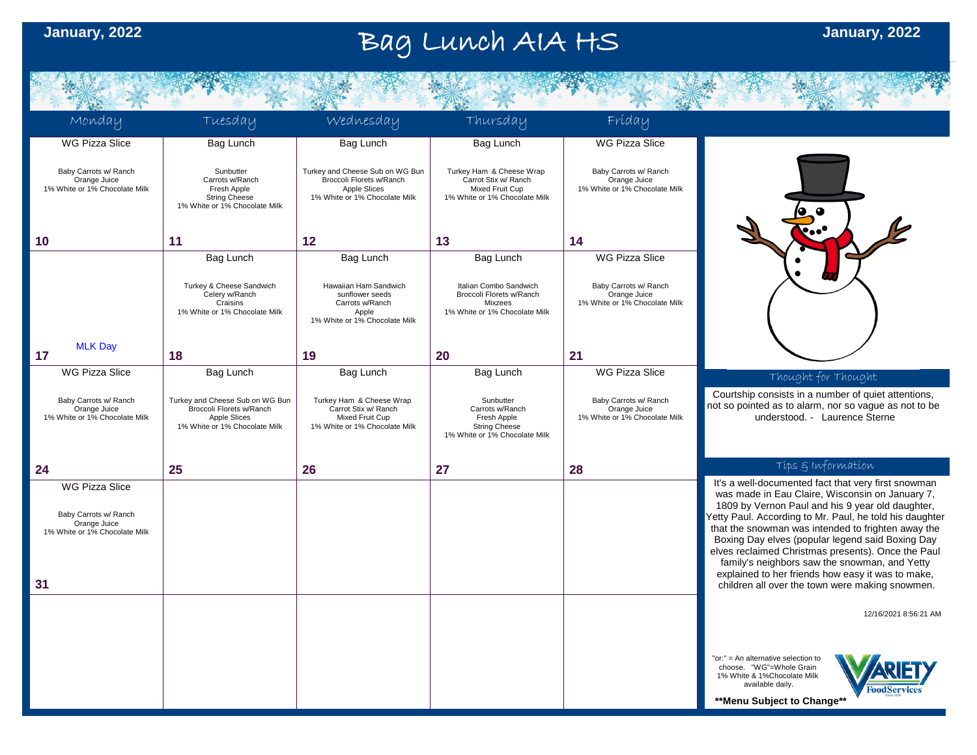#### Bag Lunch AIA HS **January, 2022**

Monday Tuesday Wednesday Thursday Friday WG Pizza Slice WG Pizza Slice Bag Lunch Bag Lunch Bag Lunch Baby Carrots w/ Ranch **Sunbutter** Turkey and Cheese Sub on WG Bun Turkey Ham & Cheese Wrap Baby Carrots w/ Ranch Broccoli Florets w/Ranch Carrot Stix w/ Ranch Orange Juice Carrots w/Ranch Orange Juice 1% White or 1% Chocolate Milk Fresh Apple Apple Slices Mixed Fruit Cup 1% White or 1% Chocolate Milk String Cheese 1% White or 1% Chocolate Milk 1% White or 1% Chocolate Milk 1% White or 1% Chocolate Milk **10 11 12 13 14** WG Pizza Slice Bag Lunch Bag Lunch Bag Lunch Turkey & Cheese Sandwich Hawaiian Ham Sandwich Italian Combo Sandwich Baby Carrots w/ Ranch Celery w/Ranch sunflower seeds Broccoli Florets w/Ranch Orange Juice Carrots w/Ranch 1% White or 1% Chocolate Milk Craisins Mixzees 1% White or 1% Chocolate Milk 1% White or 1% Chocolate Milk Apple 1% White or 1% Chocolate Milk MLK Day **2117 18 19 20** WG Pizza Slice Bag Lunch Bag Lunch Bag Lunch WG Pizza Slice Thought for Thought Courtship consists in a number of quiet attentions. Baby Carrots w/ Ranch Turkey and Cheese Sub on WG Bun Turkey Ham & Cheese Wrap Sunbutter Baby Carrots w/ Ranch not so pointed as to alarm, nor so vague as not to be Carrot Stix w/ Ranch Carrots w/Ranch Orange Juice Orange Juice Broccoli Florets w/Ranch 1% White or 1% Chocolate Milk Apple Slices Mixed Fruit Cup Fresh Apple 1% White or 1% Chocolate Milk understood. - Laurence Sterne 1% White or 1% Chocolate Milk 1% White or 1% Chocolate Milk String Cheese 1% White or 1% Chocolate Milk Tips & Information **24 25 26 27 28** It's a well-documented fact that very first snowman WG Pizza Slice was made in Eau Claire, Wisconsin on January 7, 1809 by Vernon Paul and his 9 year old daughter, Baby Carrots w/ Ranch Yetty Paul. According to Mr. Paul, he told his daughter Orange Juice that the snowman was intended to frighten away the 1% White or 1% Chocolate Milk Boxing Day elves (popular legend said Boxing Day elves reclaimed Christmas presents). Once the Paul family's neighbors saw the snowman, and Yetty explained to her friends how easy it was to make, **31** children all over the town were making snowmen. 12/16/2021 8:56:21 AM "or:" = An alternative selection to choose. "WG"=Whole Grain 1% White & 1%Chocolate Milk available daily. **FoodServices \*\*Menu Subject to Change\*\***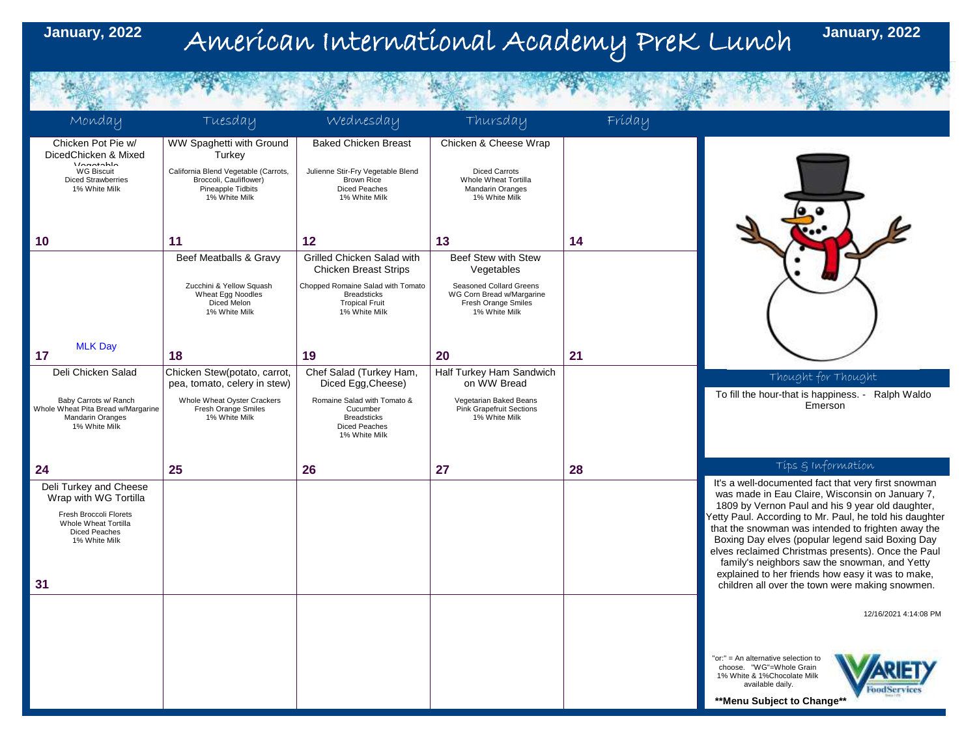# January, 2022 American International Academy PreK Lunch

THE R. P. LEWIS CO., LANSING, MICH.

**January, 2022**

| Monday                                                                                                                                           | Tuesday                                                                                              | wednesday                                                                                         | Thursday                                                                                     | Fríday |                                                                                                                                                                                                                                                                                                                                                                                                                                                                                                                                                |
|--------------------------------------------------------------------------------------------------------------------------------------------------|------------------------------------------------------------------------------------------------------|---------------------------------------------------------------------------------------------------|----------------------------------------------------------------------------------------------|--------|------------------------------------------------------------------------------------------------------------------------------------------------------------------------------------------------------------------------------------------------------------------------------------------------------------------------------------------------------------------------------------------------------------------------------------------------------------------------------------------------------------------------------------------------|
| Chicken Pot Pie w/<br>DicedChicken & Mixed<br><i>Monotoble</i>                                                                                   | WW Spaghetti with Ground<br>Turkey                                                                   | <b>Baked Chicken Breast</b>                                                                       | Chicken & Cheese Wrap                                                                        |        |                                                                                                                                                                                                                                                                                                                                                                                                                                                                                                                                                |
| <b>WG Biscuit</b><br><b>Diced Strawberries</b><br>1% White Milk                                                                                  | California Blend Vegetable (Carrots,<br>Broccoli, Cauliflower)<br>Pineapple Tidbits<br>1% White Milk | Julienne Stir-Fry Vegetable Blend<br><b>Brown Rice</b><br>Diced Peaches<br>1% White Milk          | Diced Carrots<br>Whole Wheat Tortilla<br>Mandarin Oranges<br>1% White Milk                   |        |                                                                                                                                                                                                                                                                                                                                                                                                                                                                                                                                                |
| 10                                                                                                                                               | 11                                                                                                   | 12                                                                                                | 13                                                                                           | 14     |                                                                                                                                                                                                                                                                                                                                                                                                                                                                                                                                                |
|                                                                                                                                                  | Beef Meatballs & Gravy                                                                               | Grilled Chicken Salad with<br><b>Chicken Breast Strips</b>                                        | Beef Stew with Stew<br>Vegetables                                                            |        |                                                                                                                                                                                                                                                                                                                                                                                                                                                                                                                                                |
|                                                                                                                                                  | Zucchini & Yellow Squash<br>Wheat Egg Noodles<br>Diced Melon<br>1% White Milk                        | Chopped Romaine Salad with Tomato<br><b>Breadsticks</b><br><b>Tropical Fruit</b><br>1% White Milk | Seasoned Collard Greens<br>WG Corn Bread w/Margarine<br>Fresh Orange Smiles<br>1% White Milk |        |                                                                                                                                                                                                                                                                                                                                                                                                                                                                                                                                                |
| <b>MLK Day</b><br>17                                                                                                                             | 18                                                                                                   | 19                                                                                                | 20                                                                                           | 21     |                                                                                                                                                                                                                                                                                                                                                                                                                                                                                                                                                |
| Deli Chicken Salad                                                                                                                               | Chicken Stew(potato, carrot,<br>pea, tomato, celery in stew)                                         | Chef Salad (Turkey Ham,<br>Diced Egg, Cheese)                                                     | Half Turkey Ham Sandwich<br>on WW Bread                                                      |        | Thought for Thought                                                                                                                                                                                                                                                                                                                                                                                                                                                                                                                            |
| Baby Carrots w/ Ranch<br>Whole Wheat Pita Bread w/Margarine<br>Mandarin Oranges<br>1% White Milk                                                 | Whole Wheat Oyster Crackers<br>Fresh Orange Smiles<br>1% White Milk                                  | Romaine Salad with Tomato &<br>Cucumber<br><b>Breadsticks</b><br>Diced Peaches<br>1% White Milk   | Vegetarian Baked Beans<br><b>Pink Grapefruit Sections</b><br>1% White Milk                   |        | To fill the hour-that is happiness. - Ralph Waldo<br>Emerson                                                                                                                                                                                                                                                                                                                                                                                                                                                                                   |
| 24                                                                                                                                               | 25                                                                                                   | 26                                                                                                | 27                                                                                           | 28     | Tips & Information                                                                                                                                                                                                                                                                                                                                                                                                                                                                                                                             |
| Deli Turkey and Cheese<br>Wrap with WG Tortilla<br>Fresh Broccoli Florets<br>Whole Wheat Tortilla<br><b>Diced Peaches</b><br>1% White Milk<br>31 |                                                                                                      |                                                                                                   |                                                                                              |        | It's a well-documented fact that very first snowman<br>was made in Eau Claire, Wisconsin on January 7,<br>1809 by Vernon Paul and his 9 year old daughter,<br>Yetty Paul. According to Mr. Paul, he told his daughter<br>that the snowman was intended to frighten away the<br>Boxing Day elves (popular legend said Boxing Day<br>elves reclaimed Christmas presents). Once the Paul<br>family's neighbors saw the snowman, and Yetty<br>explained to her friends how easy it was to make,<br>children all over the town were making snowmen. |
|                                                                                                                                                  |                                                                                                      |                                                                                                   |                                                                                              |        | 12/16/2021 4:14:08 PM                                                                                                                                                                                                                                                                                                                                                                                                                                                                                                                          |
|                                                                                                                                                  |                                                                                                      |                                                                                                   |                                                                                              |        | "or:" = An alternative selection to<br>choose. "WG"=Whole Grain<br>1% White & 1%Chocolate Milk<br>available daily.<br><b>FoodServices</b><br>** Menu Subject to Change**                                                                                                                                                                                                                                                                                                                                                                       |
|                                                                                                                                                  |                                                                                                      |                                                                                                   |                                                                                              |        |                                                                                                                                                                                                                                                                                                                                                                                                                                                                                                                                                |